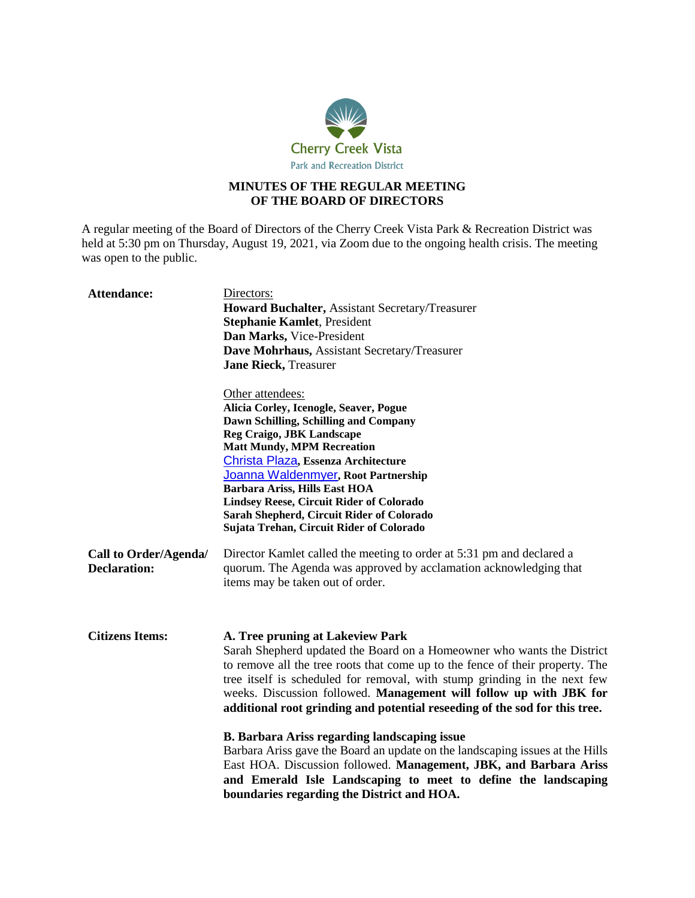

# **MINUTES OF THE REGULAR MEETING OF THE BOARD OF DIRECTORS**

A regular meeting of the Board of Directors of the Cherry Creek Vista Park & Recreation District was held at 5:30 pm on Thursday, August 19, 2021, via Zoom due to the ongoing health crisis. The meeting was open to the public.

| <b>Attendance:</b>                           | Directors:                                                                                                                                                                                                                                                                                                                                                                                                                   |
|----------------------------------------------|------------------------------------------------------------------------------------------------------------------------------------------------------------------------------------------------------------------------------------------------------------------------------------------------------------------------------------------------------------------------------------------------------------------------------|
|                                              | <b>Howard Buchalter, Assistant Secretary/Treasurer</b>                                                                                                                                                                                                                                                                                                                                                                       |
|                                              | <b>Stephanie Kamlet, President</b>                                                                                                                                                                                                                                                                                                                                                                                           |
|                                              | Dan Marks, Vice-President                                                                                                                                                                                                                                                                                                                                                                                                    |
|                                              | Dave Mohrhaus, Assistant Secretary/Treasurer                                                                                                                                                                                                                                                                                                                                                                                 |
|                                              | <b>Jane Rieck, Treasurer</b>                                                                                                                                                                                                                                                                                                                                                                                                 |
|                                              |                                                                                                                                                                                                                                                                                                                                                                                                                              |
|                                              | Other attendees:                                                                                                                                                                                                                                                                                                                                                                                                             |
|                                              | Alicia Corley, Icenogle, Seaver, Pogue                                                                                                                                                                                                                                                                                                                                                                                       |
|                                              | Dawn Schilling, Schilling and Company                                                                                                                                                                                                                                                                                                                                                                                        |
|                                              | Reg Craigo, JBK Landscape                                                                                                                                                                                                                                                                                                                                                                                                    |
|                                              | <b>Matt Mundy, MPM Recreation</b>                                                                                                                                                                                                                                                                                                                                                                                            |
|                                              | Christa Plaza, Essenza Architecture                                                                                                                                                                                                                                                                                                                                                                                          |
|                                              | Joanna Waldenmyer, Root Partnership                                                                                                                                                                                                                                                                                                                                                                                          |
|                                              | Barbara Ariss, Hills East HOA                                                                                                                                                                                                                                                                                                                                                                                                |
|                                              | <b>Lindsey Reese, Circuit Rider of Colorado</b>                                                                                                                                                                                                                                                                                                                                                                              |
|                                              | Sarah Shepherd, Circuit Rider of Colorado                                                                                                                                                                                                                                                                                                                                                                                    |
|                                              | Sujata Trehan, Circuit Rider of Colorado                                                                                                                                                                                                                                                                                                                                                                                     |
| Call to Order/Agenda/<br><b>Declaration:</b> | Director Kamlet called the meeting to order at 5:31 pm and declared a<br>quorum. The Agenda was approved by acclamation acknowledging that<br>items may be taken out of order.                                                                                                                                                                                                                                               |
| <b>Citizens Items:</b>                       | A. Tree pruning at Lakeview Park<br>Sarah Shepherd updated the Board on a Homeowner who wants the District<br>to remove all the tree roots that come up to the fence of their property. The<br>tree itself is scheduled for removal, with stump grinding in the next few<br>weeks. Discussion followed. Management will follow up with JBK for<br>additional root grinding and potential reseeding of the sod for this tree. |
|                                              | <b>B. Barbara Ariss regarding landscaping issue</b><br>Barbara Ariss gave the Board an update on the landscaping issues at the Hills<br>East HOA. Discussion followed. Management, JBK, and Barbara Ariss<br>and Emerald Isle Landscaping to meet to define the landscaping<br>boundaries regarding the District and HOA.                                                                                                    |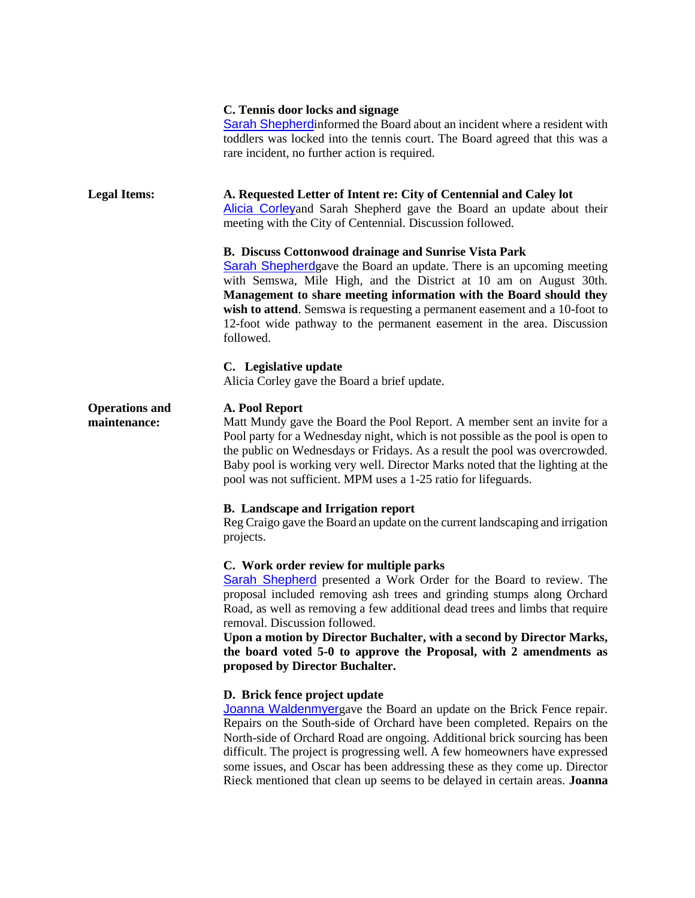## **C. Tennis door locks and signage**

[Sarah Shepherd](mailto:sees@ccrider.us)informed the Board about an incident where a resident with toddlers was locked into the tennis court. The Board agreed that this was a rare incident, no further action is required.

### **Legal Items: A. Requested Letter of Intent re: City of Centennial and Caley lot**

[Alicia Corley](mailto:acorley@isp-law.com)and Sarah Shepherd gave the Board an update about their meeting with the City of Centennial. Discussion followed.

## **B. Discuss Cottonwood drainage and Sunrise Vista Park**

[Sarah Shepherd](mailto:sees@ccrider.us)gave the Board an update. There is an upcoming meeting with Semswa, Mile High, and the District at 10 am on August 30th. **Management to share meeting information with the Board should they wish to attend**. Semswa is requesting a permanent easement and a 10-foot to 12-foot wide pathway to the permanent easement in the area. Discussion followed.

### **C. Legislative update**

Alicia Corley gave the Board a brief update.

#### **Operations and A. Pool Report**

**maintenance:**

Matt Mundy gave the Board the Pool Report. A member sent an invite for a Pool party for a Wednesday night, which is not possible as the pool is open to the public on Wednesdays or Fridays. As a result the pool was overcrowded. Baby pool is working very well. Director Marks noted that the lighting at the pool was not sufficient. MPM uses a 1-25 ratio for lifeguards.

## **B. Landscape and Irrigation report**

Reg Craigo gave the Board an update on the current landscaping and irrigation projects.

## **C. Work order review for multiple parks**

[Sarah Shepherd](mailto:sees@ccrider.us) presented a Work Order for the Board to review. The proposal included removing ash trees and grinding stumps along Orchard Road, as well as removing a few additional dead trees and limbs that require removal. Discussion followed.

**Upon a motion by Director Buchalter, with a second by Director Marks, the board voted 5-0 to approve the Proposal, with 2 amendments as proposed by Director Buchalter.**

## **D. Brick fence project update**

[Joanna Waldenmyer](mailto:jwaldenmyer@rootpartnership.com)gave the Board an update on the Brick Fence repair. Repairs on the South-side of Orchard have been completed. Repairs on the North-side of Orchard Road are ongoing. Additional brick sourcing has been difficult. The project is progressing well. A few homeowners have expressed some issues, and Oscar has been addressing these as they come up. Director Rieck mentioned that clean up seems to be delayed in certain areas. **Joanna**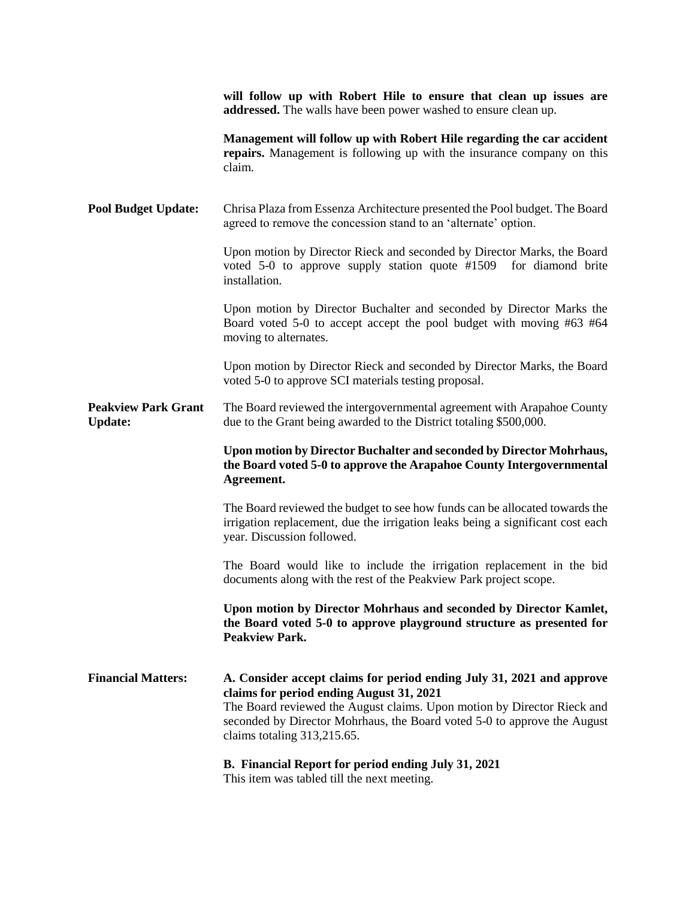|                                              | will follow up with Robert Hile to ensure that clean up issues are<br>addressed. The walls have been power washed to ensure clean up.                                                                                                                                                                   |
|----------------------------------------------|---------------------------------------------------------------------------------------------------------------------------------------------------------------------------------------------------------------------------------------------------------------------------------------------------------|
|                                              | Management will follow up with Robert Hile regarding the car accident<br>repairs. Management is following up with the insurance company on this<br>claim.                                                                                                                                               |
| <b>Pool Budget Update:</b>                   | Chrisa Plaza from Essenza Architecture presented the Pool budget. The Board<br>agreed to remove the concession stand to an 'alternate' option.                                                                                                                                                          |
|                                              | Upon motion by Director Rieck and seconded by Director Marks, the Board<br>voted 5-0 to approve supply station quote #1509 for diamond brite<br>installation.                                                                                                                                           |
|                                              | Upon motion by Director Buchalter and seconded by Director Marks the<br>Board voted 5-0 to accept accept the pool budget with moving #63 #64<br>moving to alternates.                                                                                                                                   |
|                                              | Upon motion by Director Rieck and seconded by Director Marks, the Board<br>voted 5-0 to approve SCI materials testing proposal.                                                                                                                                                                         |
| <b>Peakview Park Grant</b><br><b>Update:</b> | The Board reviewed the intergovernmental agreement with Arapahoe County<br>due to the Grant being awarded to the District totaling \$500,000.                                                                                                                                                           |
|                                              |                                                                                                                                                                                                                                                                                                         |
|                                              | Upon motion by Director Buchalter and seconded by Director Mohrhaus,<br>the Board voted 5-0 to approve the Arapahoe County Intergovernmental<br>Agreement.                                                                                                                                              |
|                                              | The Board reviewed the budget to see how funds can be allocated towards the<br>irrigation replacement, due the irrigation leaks being a significant cost each<br>year. Discussion followed.                                                                                                             |
|                                              | The Board would like to include the irrigation replacement in the bid<br>documents along with the rest of the Peakview Park project scope.                                                                                                                                                              |
|                                              | Upon motion by Director Mohrhaus and seconded by Director Kamlet,<br>the Board voted 5-0 to approve playground structure as presented for<br><b>Peakview Park.</b>                                                                                                                                      |
| <b>Financial Matters:</b>                    | A. Consider accept claims for period ending July 31, 2021 and approve<br>claims for period ending August 31, 2021<br>The Board reviewed the August claims. Upon motion by Director Rieck and<br>seconded by Director Mohrhaus, the Board voted 5-0 to approve the August<br>claims totaling 313,215.65. |